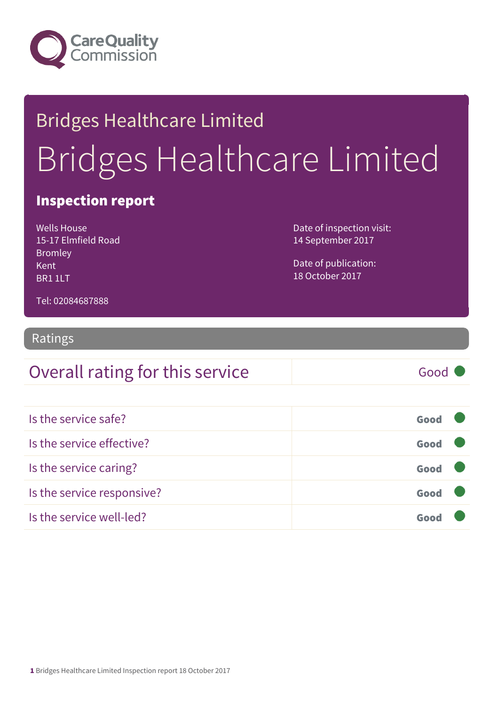

# Bridges Healthcare Limited Bridges Healthcare Limited

### Inspection report

Wells House 15-17 Elmfield Road Bromley Kent BR1 1LT

Date of inspection visit: 14 September 2017

Date of publication: 18 October 2017

Tel: 02084687888

### Ratings

### Overall rating for this service Good

| Is the service safe?       | Good |  |
|----------------------------|------|--|
| Is the service effective?  | Good |  |
| Is the service caring?     | Good |  |
| Is the service responsive? | Good |  |
| Is the service well-led?   | Goor |  |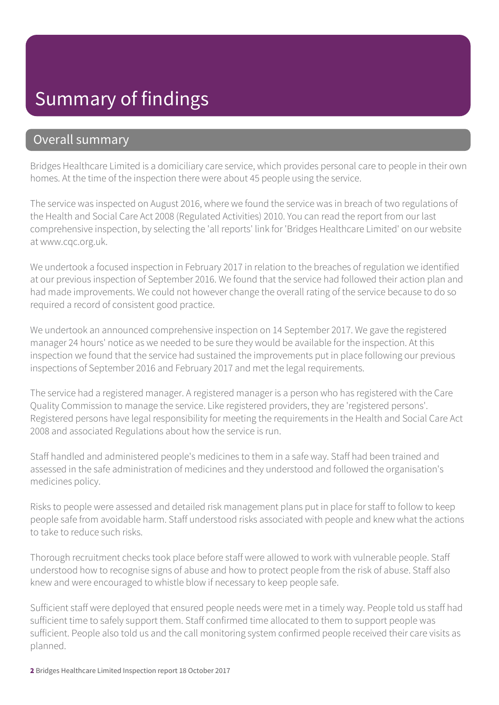### Summary of findings

### Overall summary

Bridges Healthcare Limited is a domiciliary care service, which provides personal care to people in their own homes. At the time of the inspection there were about 45 people using the service.

The service was inspected on August 2016, where we found the service was in breach of two regulations of the Health and Social Care Act 2008 (Regulated Activities) 2010. You can read the report from our last comprehensive inspection, by selecting the 'all reports' link for 'Bridges Healthcare Limited' on our website at www.cqc.org.uk.

We undertook a focused inspection in February 2017 in relation to the breaches of regulation we identified at our previous inspection of September 2016. We found that the service had followed their action plan and had made improvements. We could not however change the overall rating of the service because to do so required a record of consistent good practice.

We undertook an announced comprehensive inspection on 14 September 2017. We gave the registered manager 24 hours' notice as we needed to be sure they would be available for the inspection. At this inspection we found that the service had sustained the improvements put in place following our previous inspections of September 2016 and February 2017 and met the legal requirements.

The service had a registered manager. A registered manager is a person who has registered with the Care Quality Commission to manage the service. Like registered providers, they are 'registered persons'. Registered persons have legal responsibility for meeting the requirements in the Health and Social Care Act 2008 and associated Regulations about how the service is run.

Staff handled and administered people's medicines to them in a safe way. Staff had been trained and assessed in the safe administration of medicines and they understood and followed the organisation's medicines policy.

Risks to people were assessed and detailed risk management plans put in place for staff to follow to keep people safe from avoidable harm. Staff understood risks associated with people and knew what the actions to take to reduce such risks.

Thorough recruitment checks took place before staff were allowed to work with vulnerable people. Staff understood how to recognise signs of abuse and how to protect people from the risk of abuse. Staff also knew and were encouraged to whistle blow if necessary to keep people safe.

Sufficient staff were deployed that ensured people needs were met in a timely way. People told us staff had sufficient time to safely support them. Staff confirmed time allocated to them to support people was sufficient. People also told us and the call monitoring system confirmed people received their care visits as planned.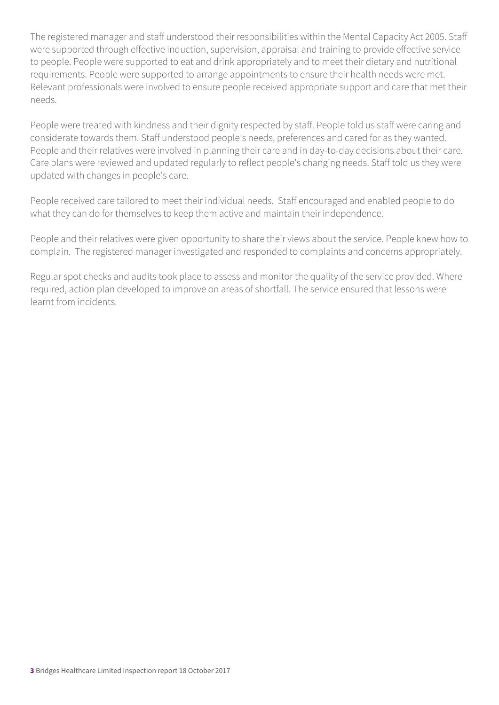The registered manager and staff understood their responsibilities within the Mental Capacity Act 2005. Staff were supported through effective induction, supervision, appraisal and training to provide effective service to people. People were supported to eat and drink appropriately and to meet their dietary and nutritional requirements. People were supported to arrange appointments to ensure their health needs were met. Relevant professionals were involved to ensure people received appropriate support and care that met their needs.

People were treated with kindness and their dignity respected by staff. People told us staff were caring and considerate towards them. Staff understood people's needs, preferences and cared for as they wanted. People and their relatives were involved in planning their care and in day-to-day decisions about their care. Care plans were reviewed and updated regularly to reflect people's changing needs. Staff told us they were updated with changes in people's care.

People received care tailored to meet their individual needs. Staff encouraged and enabled people to do what they can do for themselves to keep them active and maintain their independence.

People and their relatives were given opportunity to share their views about the service. People knew how to complain. The registered manager investigated and responded to complaints and concerns appropriately.

Regular spot checks and audits took place to assess and monitor the quality of the service provided. Where required, action plan developed to improve on areas of shortfall. The service ensured that lessons were learnt from incidents.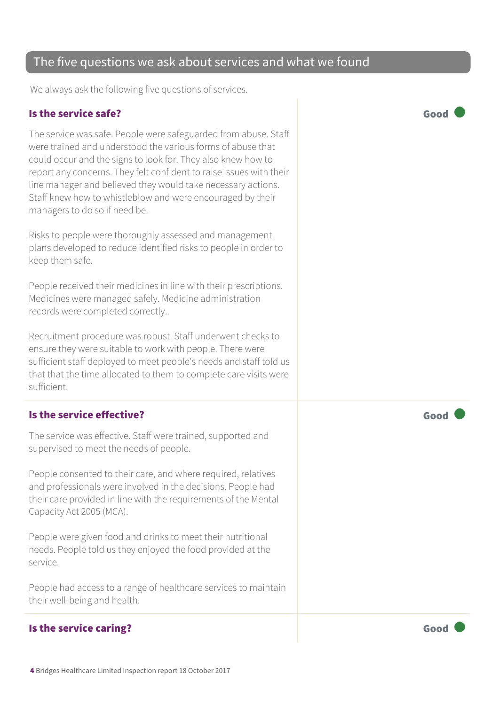### The five questions we ask about services and what we found

We always ask the following five questions of services.

#### Is the service safe? Good

The service was safe. People were safeguarded from abuse. Staff were trained and understood the various forms of abuse that could occur and the signs to look for. They also knew how to report any concerns. They felt confident to raise issues with their line manager and believed they would take necessary actions. Staff knew how to whistleblow and were encouraged by their managers to do so if need be.

Risks to people were thoroughly assessed and management plans developed to reduce identified risks to people in order to keep them safe.

People received their medicines in line with their prescriptions. Medicines were managed safely. Medicine administration records were completed correctly..

Recruitment procedure was robust. Staff underwent checks to ensure they were suitable to work with people. There were sufficient staff deployed to meet people's needs and staff told us that that the time allocated to them to complete care visits were sufficient.

#### Is the service effective?  $\blacksquare$

The service was effective. Staff were trained, supported and supervised to meet the needs of people.

People consented to their care, and where required, relatives and professionals were involved in the decisions. People had their care provided in line with the requirements of the Mental Capacity Act 2005 (MCA).

People were given food and drinks to meet their nutritional needs. People told us they enjoyed the food provided at the service.

People had access to a range of healthcare services to maintain their well-being and health.

#### Is the service caring? The service caring of the service care  $\blacksquare$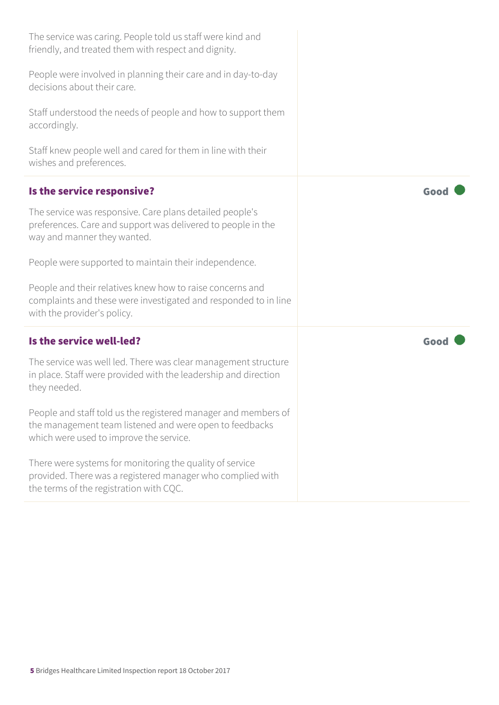| The service was caring. People told us staff were kind and<br>friendly, and treated them with respect and dignity.                                                   |      |
|----------------------------------------------------------------------------------------------------------------------------------------------------------------------|------|
| People were involved in planning their care and in day-to-day<br>decisions about their care.                                                                         |      |
| Staff understood the needs of people and how to support them<br>accordingly.                                                                                         |      |
| Staff knew people well and cared for them in line with their<br>wishes and preferences.                                                                              |      |
| Is the service responsive?                                                                                                                                           | Good |
| The service was responsive. Care plans detailed people's<br>preferences. Care and support was delivered to people in the<br>way and manner they wanted.              |      |
| People were supported to maintain their independence.                                                                                                                |      |
| People and their relatives knew how to raise concerns and<br>complaints and these were investigated and responded to in line<br>with the provider's policy.          |      |
| Is the service well-led?                                                                                                                                             | Good |
| The service was well led. There was clear management structure<br>in place. Staff were provided with the leadership and direction<br>they needed.                    |      |
| People and staff told us the registered manager and members of<br>the management team listened and were open to feedbacks<br>which were used to improve the service. |      |
| There were systems for monitoring the quality of service<br>provided. There was a registered manager who complied with<br>the terms of the registration with CQC.    |      |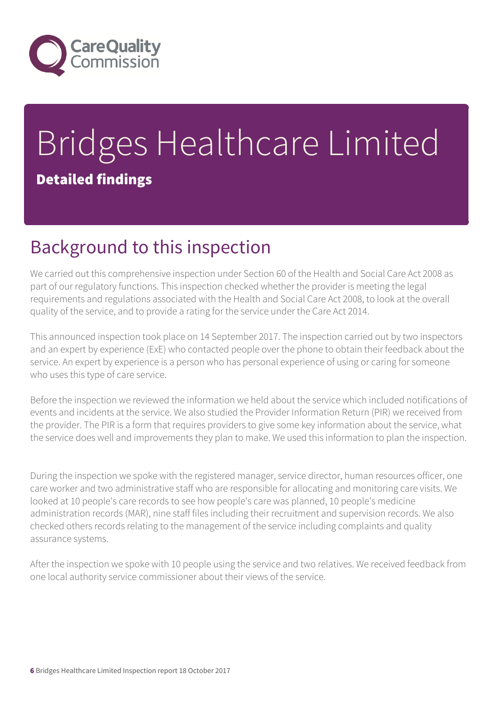

# Bridges Healthcare Limited Detailed findings

## Background to this inspection

We carried out this comprehensive inspection under Section 60 of the Health and Social Care Act 2008 as part of our regulatory functions. This inspection checked whether the provider is meeting the legal requirements and regulations associated with the Health and Social Care Act 2008, to look at the overall quality of the service, and to provide a rating for the service under the Care Act 2014.

This announced inspection took place on 14 September 2017. The inspection carried out by two inspectors and an expert by experience (ExE) who contacted people over the phone to obtain their feedback about the service. An expert by experience is a person who has personal experience of using or caring for someone who uses this type of care service.

Before the inspection we reviewed the information we held about the service which included notifications of events and incidents at the service. We also studied the Provider Information Return (PIR) we received from the provider. The PIR is a form that requires providers to give some key information about the service, what the service does well and improvements they plan to make. We used this information to plan the inspection.

During the inspection we spoke with the registered manager, service director, human resources officer, one care worker and two administrative staff who are responsible for allocating and monitoring care visits. We looked at 10 people's care records to see how people's care was planned, 10 people's medicine administration records (MAR), nine staff files including their recruitment and supervision records. We also checked others records relating to the management of the service including complaints and quality assurance systems.

After the inspection we spoke with 10 people using the service and two relatives. We received feedback from one local authority service commissioner about their views of the service.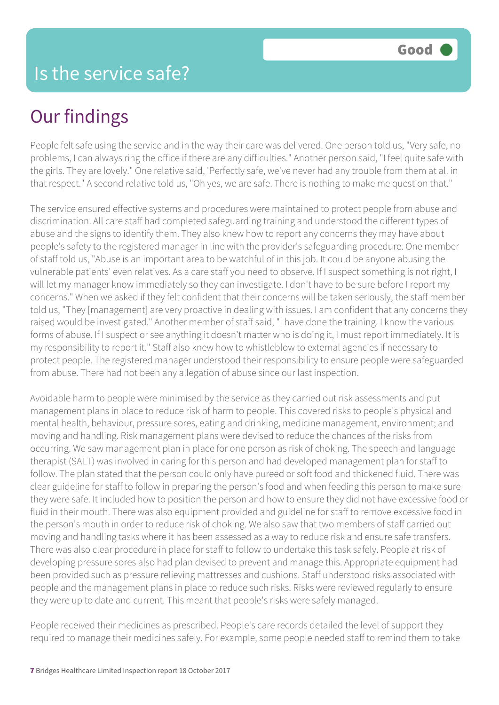People felt safe using the service and in the way their care was delivered. One person told us, "Very safe, no problems, I can always ring the office if there are any difficulties." Another person said, "I feel quite safe with the girls. They are lovely." One relative said, 'Perfectly safe, we've never had any trouble from them at all in that respect." A second relative told us, "Oh yes, we are safe. There is nothing to make me question that."

The service ensured effective systems and procedures were maintained to protect people from abuse and discrimination. All care staff had completed safeguarding training and understood the different types of abuse and the signs to identify them. They also knew how to report any concerns they may have about people's safety to the registered manager in line with the provider's safeguarding procedure. One member of staff told us, "Abuse is an important area to be watchful of in this job. It could be anyone abusing the vulnerable patients' even relatives. As a care staff you need to observe. If I suspect something is not right, I will let my manager know immediately so they can investigate. I don't have to be sure before I report my concerns." When we asked if they felt confident that their concerns will be taken seriously, the staff member told us, "They [management] are very proactive in dealing with issues. I am confident that any concerns they raised would be investigated." Another member of staff said, "I have done the training. I know the various forms of abuse. If I suspect or see anything it doesn't matter who is doing it, I must report immediately. It is my responsibility to report it." Staff also knew how to whistleblow to external agencies if necessary to protect people. The registered manager understood their responsibility to ensure people were safeguarded from abuse. There had not been any allegation of abuse since our last inspection.

Avoidable harm to people were minimised by the service as they carried out risk assessments and put management plans in place to reduce risk of harm to people. This covered risks to people's physical and mental health, behaviour, pressure sores, eating and drinking, medicine management, environment; and moving and handling. Risk management plans were devised to reduce the chances of the risks from occurring. We saw management plan in place for one person as risk of choking. The speech and language therapist (SALT) was involved in caring for this person and had developed management plan for staff to follow. The plan stated that the person could only have pureed or soft food and thickened fluid. There was clear guideline for staff to follow in preparing the person's food and when feeding this person to make sure they were safe. It included how to position the person and how to ensure they did not have excessive food or fluid in their mouth. There was also equipment provided and guideline for staff to remove excessive food in the person's mouth in order to reduce risk of choking. We also saw that two members of staff carried out moving and handling tasks where it has been assessed as a way to reduce risk and ensure safe transfers. There was also clear procedure in place for staff to follow to undertake this task safely. People at risk of developing pressure sores also had plan devised to prevent and manage this. Appropriate equipment had been provided such as pressure relieving mattresses and cushions. Staff understood risks associated with people and the management plans in place to reduce such risks. Risks were reviewed regularly to ensure they were up to date and current. This meant that people's risks were safely managed.

People received their medicines as prescribed. People's care records detailed the level of support they required to manage their medicines safely. For example, some people needed staff to remind them to take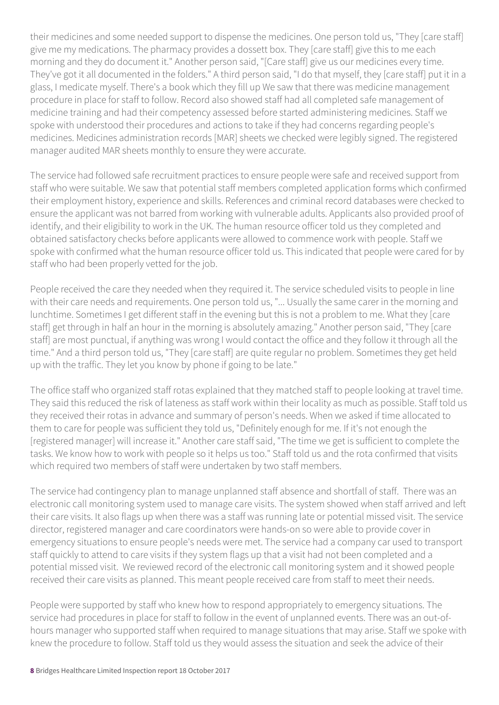their medicines and some needed support to dispense the medicines. One person told us, "They [care staff] give me my medications. The pharmacy provides a dossett box. They [care staff] give this to me each morning and they do document it." Another person said, "[Care staff] give us our medicines every time. They've got it all documented in the folders." A third person said, "I do that myself, they [care staff] put it in a glass, I medicate myself. There's a book which they fill up We saw that there was medicine management procedure in place for staff to follow. Record also showed staff had all completed safe management of medicine training and had their competency assessed before started administering medicines. Staff we spoke with understood their procedures and actions to take if they had concerns regarding people's medicines. Medicines administration records [MAR] sheets we checked were legibly signed. The registered manager audited MAR sheets monthly to ensure they were accurate.

The service had followed safe recruitment practices to ensure people were safe and received support from staff who were suitable. We saw that potential staff members completed application forms which confirmed their employment history, experience and skills. References and criminal record databases were checked to ensure the applicant was not barred from working with vulnerable adults. Applicants also provided proof of identify, and their eligibility to work in the UK. The human resource officer told us they completed and obtained satisfactory checks before applicants were allowed to commence work with people. Staff we spoke with confirmed what the human resource officer told us. This indicated that people were cared for by staff who had been properly vetted for the job.

People received the care they needed when they required it. The service scheduled visits to people in line with their care needs and requirements. One person told us, "... Usually the same carer in the morning and lunchtime. Sometimes I get different staff in the evening but this is not a problem to me. What they [care staff] get through in half an hour in the morning is absolutely amazing." Another person said, "They [care staff] are most punctual, if anything was wrong I would contact the office and they follow it through all the time." And a third person told us, "They [care staff] are quite regular no problem. Sometimes they get held up with the traffic. They let you know by phone if going to be late."

The office staff who organized staff rotas explained that they matched staff to people looking at travel time. They said this reduced the risk of lateness as staff work within their locality as much as possible. Staff told us they received their rotas in advance and summary of person's needs. When we asked if time allocated to them to care for people was sufficient they told us, "Definitely enough for me. If it's not enough the [registered manager] will increase it." Another care staff said, "The time we get is sufficient to complete the tasks. We know how to work with people so it helps us too." Staff told us and the rota confirmed that visits which required two members of staff were undertaken by two staff members.

The service had contingency plan to manage unplanned staff absence and shortfall of staff. There was an electronic call monitoring system used to manage care visits. The system showed when staff arrived and left their care visits. It also flags up when there was a staff was running late or potential missed visit. The service director, registered manager and care coordinators were hands-on so were able to provide cover in emergency situations to ensure people's needs were met. The service had a company car used to transport staff quickly to attend to care visits if they system flags up that a visit had not been completed and a potential missed visit. We reviewed record of the electronic call monitoring system and it showed people received their care visits as planned. This meant people received care from staff to meet their needs.

People were supported by staff who knew how to respond appropriately to emergency situations. The service had procedures in place for staff to follow in the event of unplanned events. There was an out-ofhours manager who supported staff when required to manage situations that may arise. Staff we spoke with knew the procedure to follow. Staff told us they would assess the situation and seek the advice of their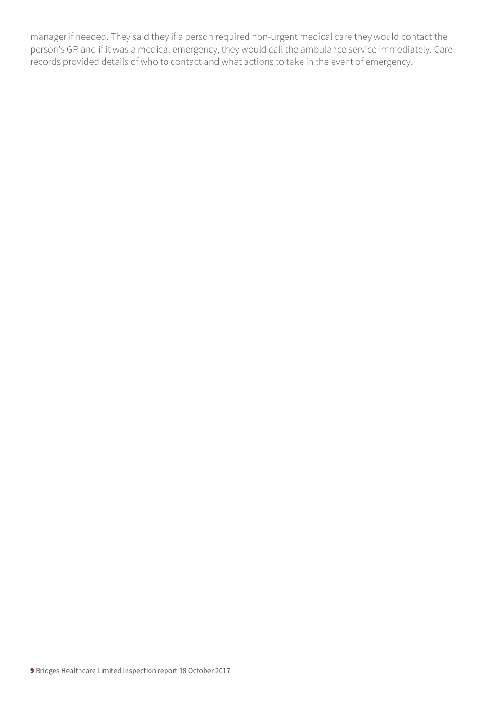manager if needed. They said they if a person required non-urgent medical care they would contact the person's GP and if it was a medical emergency, they would call the ambulance service immediately. Care records provided details of who to contact and what actions to take in the event of emergency.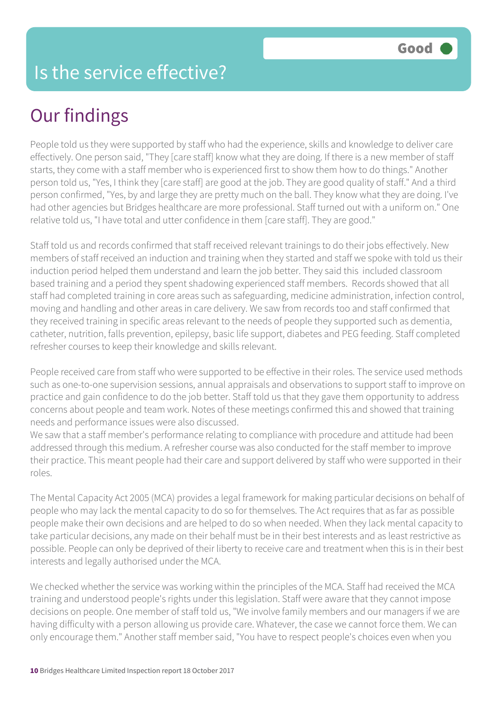People told us they were supported by staff who had the experience, skills and knowledge to deliver care effectively. One person said, "They [care staff] know what they are doing. If there is a new member of staff starts, they come with a staff member who is experienced first to show them how to do things." Another person told us, "Yes, I think they [care staff] are good at the job. They are good quality of staff." And a third person confirmed, "Yes, by and large they are pretty much on the ball. They know what they are doing. I've had other agencies but Bridges healthcare are more professional. Staff turned out with a uniform on." One relative told us, "I have total and utter confidence in them [care staff]. They are good."

Staff told us and records confirmed that staff received relevant trainings to do their jobs effectively. New members of staff received an induction and training when they started and staff we spoke with told us their induction period helped them understand and learn the job better. They said this included classroom based training and a period they spent shadowing experienced staff members. Records showed that all staff had completed training in core areas such as safeguarding, medicine administration, infection control, moving and handling and other areas in care delivery. We saw from records too and staff confirmed that they received training in specific areas relevant to the needs of people they supported such as dementia, catheter, nutrition, falls prevention, epilepsy, basic life support, diabetes and PEG feeding. Staff completed refresher courses to keep their knowledge and skills relevant.

People received care from staff who were supported to be effective in their roles. The service used methods such as one-to-one supervision sessions, annual appraisals and observations to support staff to improve on practice and gain confidence to do the job better. Staff told us that they gave them opportunity to address concerns about people and team work. Notes of these meetings confirmed this and showed that training needs and performance issues were also discussed.

We saw that a staff member's performance relating to compliance with procedure and attitude had been addressed through this medium. A refresher course was also conducted for the staff member to improve their practice. This meant people had their care and support delivered by staff who were supported in their roles.

The Mental Capacity Act 2005 (MCA) provides a legal framework for making particular decisions on behalf of people who may lack the mental capacity to do so for themselves. The Act requires that as far as possible people make their own decisions and are helped to do so when needed. When they lack mental capacity to take particular decisions, any made on their behalf must be in their best interests and as least restrictive as possible. People can only be deprived of their liberty to receive care and treatment when this is in their best interests and legally authorised under the MCA.

We checked whether the service was working within the principles of the MCA. Staff had received the MCA training and understood people's rights under this legislation. Staff were aware that they cannot impose decisions on people. One member of staff told us, "We involve family members and our managers if we are having difficulty with a person allowing us provide care. Whatever, the case we cannot force them. We can only encourage them." Another staff member said, "You have to respect people's choices even when you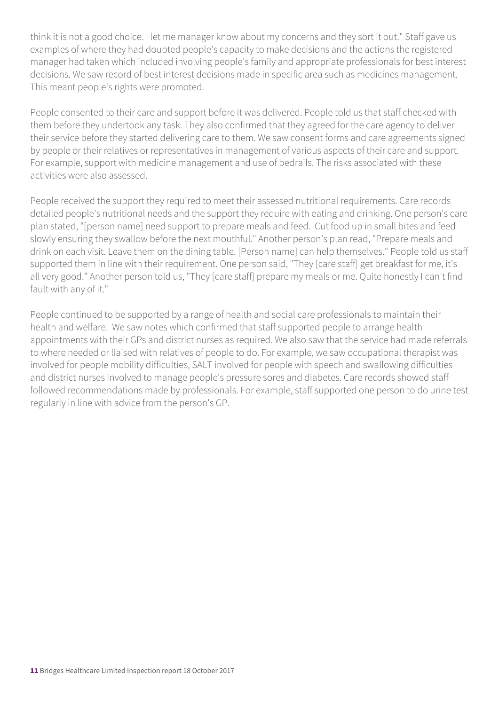think it is not a good choice. I let me manager know about my concerns and they sort it out." Staff gave us examples of where they had doubted people's capacity to make decisions and the actions the registered manager had taken which included involving people's family and appropriate professionals for best interest decisions. We saw record of best interest decisions made in specific area such as medicines management. This meant people's rights were promoted.

People consented to their care and support before it was delivered. People told us that staff checked with them before they undertook any task. They also confirmed that they agreed for the care agency to deliver their service before they started delivering care to them. We saw consent forms and care agreements signed by people or their relatives or representatives in management of various aspects of their care and support. For example, support with medicine management and use of bedrails. The risks associated with these activities were also assessed.

People received the support they required to meet their assessed nutritional requirements. Care records detailed people's nutritional needs and the support they require with eating and drinking. One person's care plan stated, "[person name] need support to prepare meals and feed. Cut food up in small bites and feed slowly ensuring they swallow before the next mouthful." Another person's plan read, "Prepare meals and drink on each visit. Leave them on the dining table. [Person name] can help themselves." People told us staff supported them in line with their requirement. One person said, "They [care staff] get breakfast for me, it's all very good." Another person told us, "They [care staff] prepare my meals or me. Quite honestly I can't find fault with any of it."

People continued to be supported by a range of health and social care professionals to maintain their health and welfare. We saw notes which confirmed that staff supported people to arrange health appointments with their GPs and district nurses as required. We also saw that the service had made referrals to where needed or liaised with relatives of people to do. For example, we saw occupational therapist was involved for people mobility difficulties, SALT involved for people with speech and swallowing difficulties and district nurses involved to manage people's pressure sores and diabetes. Care records showed staff followed recommendations made by professionals. For example, staff supported one person to do urine test regularly in line with advice from the person's GP.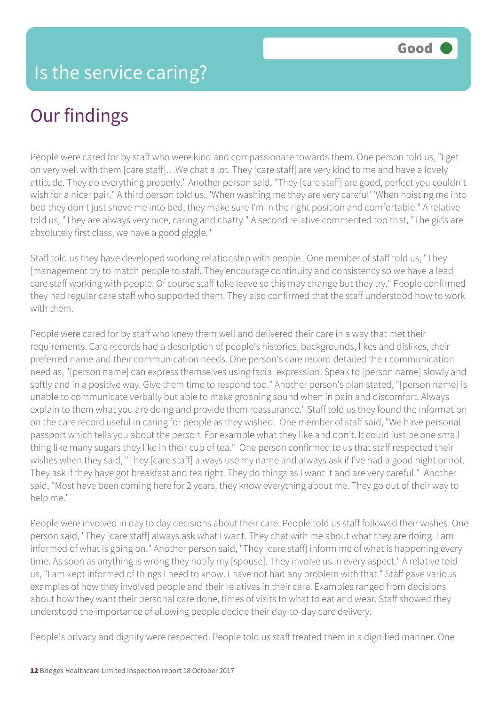People were cared for by staff who were kind and compassionate towards them. One person told us, "I get on very well with them [care staff]…We chat a lot. They [care staff] are very kind to me and have a lovely attitude. They do everything properly." Another person said, "They [care staff] are good, perfect you couldn't wish for a nicer pair." A third person told us, "When washing me they are very careful' 'When hoisting me into bed they don't just shove me into bed, they make sure I'm in the right position and comfortable." A relative told us, "They are always very nice, caring and chatty." A second relative commented too that, "The girls are absolutely first class, we have a good giggle."

Staff told us they have developed working relationship with people. One member of staff told us, "They [management try to match people to staff. They encourage continuity and consistency so we have a lead care staff working with people. Of course staff take leave so this may change but they try." People confirmed they had regular care staff who supported them. They also confirmed that the staff understood how to work with them.

People were cared for by staff who knew them well and delivered their care in a way that met their requirements. Care records had a description of people's histories, backgrounds, likes and dislikes, their preferred name and their communication needs. One person's care record detailed their communication need as, "[person name] can express themselves using facial expression. Speak to [person name] slowly and softly and in a positive way. Give them time to respond too." Another person's plan stated, "[person name] is unable to communicate verbally but able to make groaning sound when in pain and discomfort. Always explain to them what you are doing and provide them reassurance." Staff told us they found the information on the care record useful in caring for people as they wished. One member of staff said, "We have personal passport which tells you about the person. For example what they like and don't. It could just be one small thing like many sugars they like in their cup of tea." One person confirmed to us that staff respected their wishes when they said, "They [care staff] always use my name and always ask if I've had a good night or not. They ask if they have got breakfast and tea right. They do things as I want it and are very careful." Another said, "Most have been coming here for 2 years, they know everything about me. They go out of their way to help me."

People were involved in day to day decisions about their care. People told us staff followed their wishes. One person said, "They [care staff] always ask what I want. They chat with me about what they are doing. I am informed of what is going on." Another person said, "They [care staff] inform me of what is happening every time. As soon as anything is wrong they notify my [spouse]. They involve us in every aspect." A relative told us, "I am kept informed of things I need to know. I have not had any problem with that." Staff gave various examples of how they involved people and their relatives in their care. Examples ranged from decisions about how they want their personal care done, times of visits to what to eat and wear. Staff showed they understood the importance of allowing people decide their day-to-day care delivery.

People's privacy and dignity were respected. People told us staff treated them in a dignified manner. One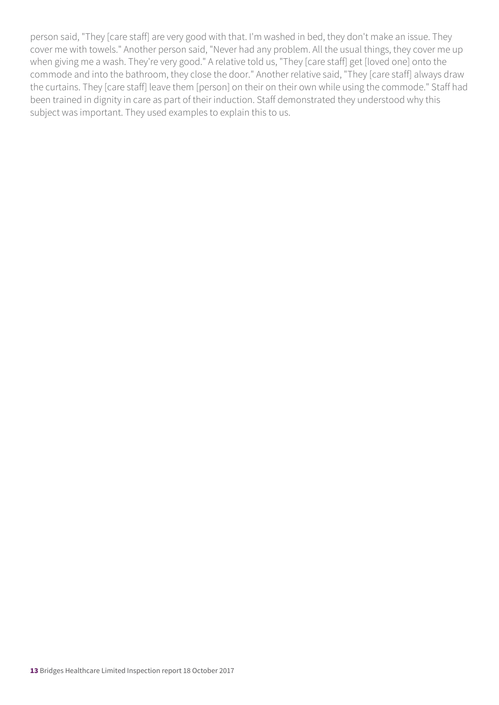person said, "They [care staff] are very good with that. I'm washed in bed, they don't make an issue. They cover me with towels." Another person said, "Never had any problem. All the usual things, they cover me up when giving me a wash. They're very good." A relative told us, "They [care staff] get [loved one] onto the commode and into the bathroom, they close the door." Another relative said, "They [care staff] always draw the curtains. They [care staff] leave them [person] on their on their own while using the commode." Staff had been trained in dignity in care as part of their induction. Staff demonstrated they understood why this subject was important. They used examples to explain this to us.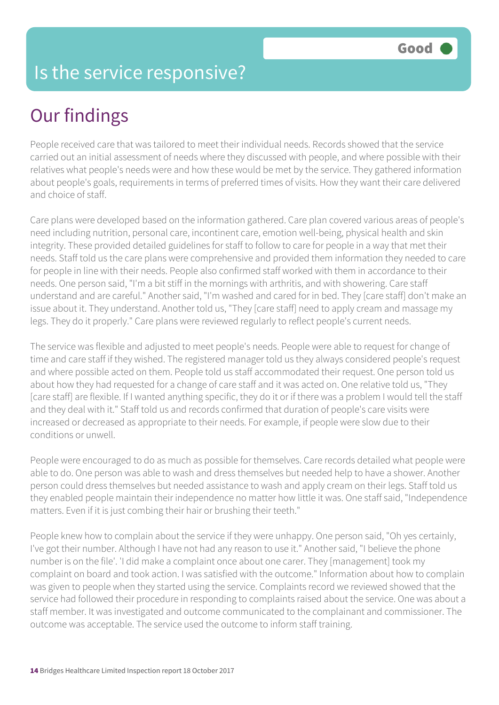### Is the service responsive?

# Our findings

People received care that was tailored to meet their individual needs. Records showed that the service carried out an initial assessment of needs where they discussed with people, and where possible with their relatives what people's needs were and how these would be met by the service. They gathered information about people's goals, requirements in terms of preferred times of visits. How they want their care delivered and choice of staff.

Care plans were developed based on the information gathered. Care plan covered various areas of people's need including nutrition, personal care, incontinent care, emotion well-being, physical health and skin integrity. These provided detailed guidelines for staff to follow to care for people in a way that met their needs. Staff told us the care plans were comprehensive and provided them information they needed to care for people in line with their needs. People also confirmed staff worked with them in accordance to their needs. One person said, "I'm a bit stiff in the mornings with arthritis, and with showering. Care staff understand and are careful." Another said, "I'm washed and cared for in bed. They [care staff] don't make an issue about it. They understand. Another told us, "They [care staff] need to apply cream and massage my legs. They do it properly." Care plans were reviewed regularly to reflect people's current needs.

The service was flexible and adjusted to meet people's needs. People were able to request for change of time and care staff if they wished. The registered manager told us they always considered people's request and where possible acted on them. People told us staff accommodated their request. One person told us about how they had requested for a change of care staff and it was acted on. One relative told us, "They [care staff] are flexible. If I wanted anything specific, they do it or if there was a problem I would tell the staff and they deal with it." Staff told us and records confirmed that duration of people's care visits were increased or decreased as appropriate to their needs. For example, if people were slow due to their conditions or unwell.

People were encouraged to do as much as possible for themselves. Care records detailed what people were able to do. One person was able to wash and dress themselves but needed help to have a shower. Another person could dress themselves but needed assistance to wash and apply cream on their legs. Staff told us they enabled people maintain their independence no matter how little it was. One staff said, "Independence matters. Even if it is just combing their hair or brushing their teeth."

People knew how to complain about the service if they were unhappy. One person said, "Oh yes certainly, I've got their number. Although I have not had any reason to use it." Another said, "I believe the phone number is on the file'. 'I did make a complaint once about one carer. They [management] took my complaint on board and took action. I was satisfied with the outcome." Information about how to complain was given to people when they started using the service. Complaints record we reviewed showed that the service had followed their procedure in responding to complaints raised about the service. One was about a staff member. It was investigated and outcome communicated to the complainant and commissioner. The outcome was acceptable. The service used the outcome to inform staff training.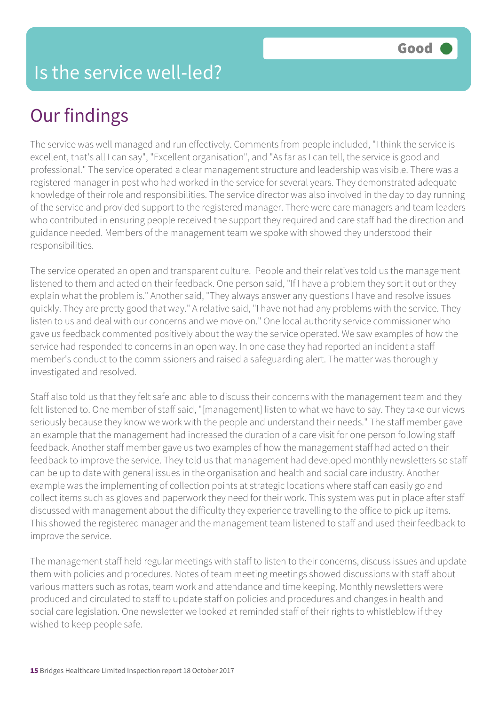The service was well managed and run effectively. Comments from people included, "I think the service is excellent, that's all I can say", "Excellent organisation", and "As far as I can tell, the service is good and professional." The service operated a clear management structure and leadership was visible. There was a registered manager in post who had worked in the service for several years. They demonstrated adequate knowledge of their role and responsibilities. The service director was also involved in the day to day running of the service and provided support to the registered manager. There were care managers and team leaders who contributed in ensuring people received the support they required and care staff had the direction and guidance needed. Members of the management team we spoke with showed they understood their responsibilities.

The service operated an open and transparent culture. People and their relatives told us the management listened to them and acted on their feedback. One person said, "If I have a problem they sort it out or they explain what the problem is." Another said, "They always answer any questions I have and resolve issues quickly. They are pretty good that way." A relative said, "I have not had any problems with the service. They listen to us and deal with our concerns and we move on." One local authority service commissioner who gave us feedback commented positively about the way the service operated. We saw examples of how the service had responded to concerns in an open way. In one case they had reported an incident a staff member's conduct to the commissioners and raised a safeguarding alert. The matter was thoroughly investigated and resolved.

Staff also told us that they felt safe and able to discuss their concerns with the management team and they felt listened to. One member of staff said, "[management] listen to what we have to say. They take our views seriously because they know we work with the people and understand their needs." The staff member gave an example that the management had increased the duration of a care visit for one person following staff feedback. Another staff member gave us two examples of how the management staff had acted on their feedback to improve the service. They told us that management had developed monthly newsletters so staff can be up to date with general issues in the organisation and health and social care industry. Another example was the implementing of collection points at strategic locations where staff can easily go and collect items such as gloves and paperwork they need for their work. This system was put in place after staff discussed with management about the difficulty they experience travelling to the office to pick up items. This showed the registered manager and the management team listened to staff and used their feedback to improve the service.

The management staff held regular meetings with staff to listen to their concerns, discuss issues and update them with policies and procedures. Notes of team meeting meetings showed discussions with staff about various matters such as rotas, team work and attendance and time keeping. Monthly newsletters were produced and circulated to staff to update staff on policies and procedures and changes in health and social care legislation. One newsletter we looked at reminded staff of their rights to whistleblow if they wished to keep people safe.